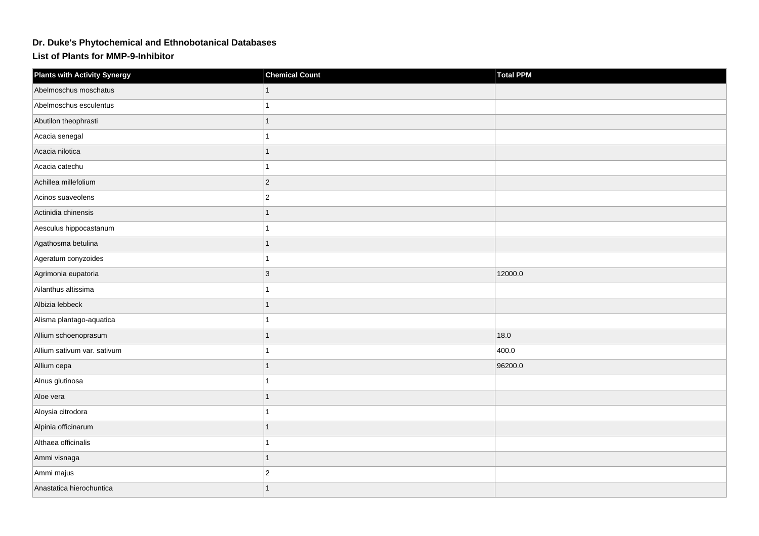## **Dr. Duke's Phytochemical and Ethnobotanical Databases**

**List of Plants for MMP-9-Inhibitor**

| <b>Plants with Activity Synergy</b> | <b>Chemical Count</b> | <b>Total PPM</b> |
|-------------------------------------|-----------------------|------------------|
| Abelmoschus moschatus               |                       |                  |
| Abelmoschus esculentus              |                       |                  |
| Abutilon theophrasti                | 1                     |                  |
| Acacia senegal                      |                       |                  |
| Acacia nilotica                     | 1                     |                  |
| Acacia catechu                      | 1                     |                  |
| Achillea millefolium                | $ 2\rangle$           |                  |
| Acinos suaveolens                   | $ 2\rangle$           |                  |
| Actinidia chinensis                 | $\overline{1}$        |                  |
| Aesculus hippocastanum              | 1                     |                  |
| Agathosma betulina                  |                       |                  |
| Ageratum conyzoides                 | 1                     |                  |
| Agrimonia eupatoria                 | $ 3\rangle$           | 12000.0          |
| Ailanthus altissima                 |                       |                  |
| Albizia lebbeck                     |                       |                  |
| Alisma plantago-aquatica            |                       |                  |
| Allium schoenoprasum                | 1                     | 18.0             |
| Allium sativum var. sativum         |                       | 400.0            |
| Allium cepa                         |                       | 96200.0          |
| Alnus glutinosa                     |                       |                  |
| Aloe vera                           |                       |                  |
| Aloysia citrodora                   |                       |                  |
| Alpinia officinarum                 | 1                     |                  |
| Althaea officinalis                 |                       |                  |
| Ammi visnaga                        | 1                     |                  |
| Ammi majus                          | $\overline{2}$        |                  |
| Anastatica hierochuntica            |                       |                  |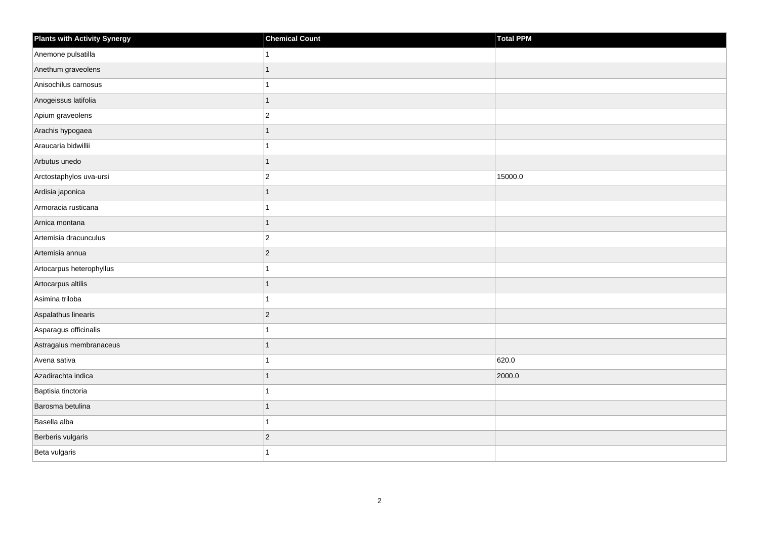| <b>Plants with Activity Synergy</b> | <b>Chemical Count</b> | Total PPM |
|-------------------------------------|-----------------------|-----------|
| Anemone pulsatilla                  |                       |           |
| Anethum graveolens                  | 1                     |           |
| Anisochilus carnosus                |                       |           |
| Anogeissus latifolia                | 1                     |           |
| Apium graveolens                    | $\overline{2}$        |           |
| Arachis hypogaea                    |                       |           |
| Araucaria bidwillii                 |                       |           |
| Arbutus unedo                       | 1                     |           |
| Arctostaphylos uva-ursi             | $\overline{2}$        | 15000.0   |
| Ardisia japonica                    | 1                     |           |
| Armoracia rusticana                 |                       |           |
| Arnica montana                      | 1                     |           |
| Artemisia dracunculus               | $\overline{c}$        |           |
| Artemisia annua                     | $\overline{a}$        |           |
| Artocarpus heterophyllus            |                       |           |
| Artocarpus altilis                  | 1                     |           |
| Asimina triloba                     |                       |           |
| Aspalathus linearis                 | $\overline{2}$        |           |
| Asparagus officinalis               | 1                     |           |
| Astragalus membranaceus             |                       |           |
| Avena sativa                        |                       | 620.0     |
| Azadirachta indica                  | 1                     | 2000.0    |
| Baptisia tinctoria                  |                       |           |
| Barosma betulina                    |                       |           |
| Basella alba                        | 1                     |           |
| Berberis vulgaris                   | $\overline{a}$        |           |
| Beta vulgaris                       |                       |           |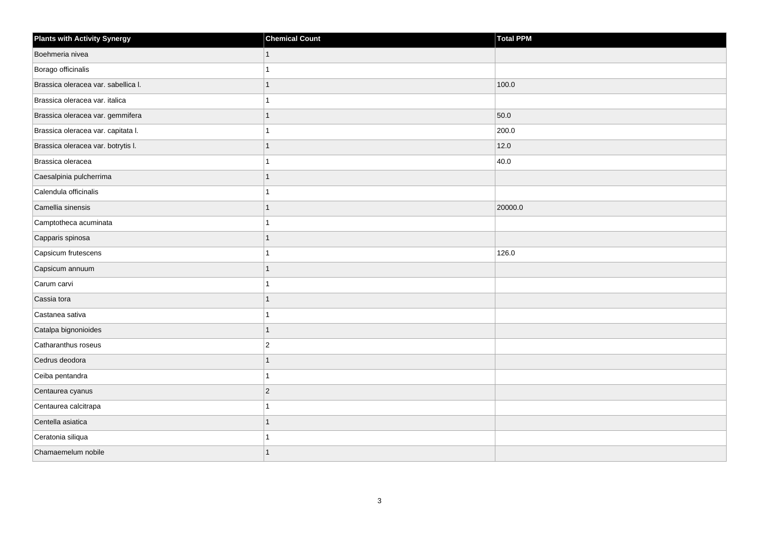| <b>Plants with Activity Synergy</b> | <b>Chemical Count</b> | <b>Total PPM</b> |
|-------------------------------------|-----------------------|------------------|
| Boehmeria nivea                     |                       |                  |
| Borago officinalis                  |                       |                  |
| Brassica oleracea var. sabellica I. |                       | 100.0            |
| Brassica oleracea var. italica      |                       |                  |
| Brassica oleracea var. gemmifera    |                       | 50.0             |
| Brassica oleracea var. capitata I.  |                       | 200.0            |
| Brassica oleracea var. botrytis I.  |                       | 12.0             |
| Brassica oleracea                   |                       | 40.0             |
| Caesalpinia pulcherrima             |                       |                  |
| Calendula officinalis               |                       |                  |
| Camellia sinensis                   | 1                     | 20000.0          |
| Camptotheca acuminata               |                       |                  |
| Capparis spinosa                    |                       |                  |
| Capsicum frutescens                 |                       | 126.0            |
| Capsicum annuum                     |                       |                  |
| Carum carvi                         |                       |                  |
| Cassia tora                         |                       |                  |
| Castanea sativa                     |                       |                  |
| Catalpa bignonioides                | 1                     |                  |
| Catharanthus roseus                 | $\overline{2}$        |                  |
| Cedrus deodora                      |                       |                  |
| Ceiba pentandra                     |                       |                  |
| Centaurea cyanus                    | $\overline{2}$        |                  |
| Centaurea calcitrapa                |                       |                  |
| Centella asiatica                   | 1                     |                  |
| Ceratonia siliqua                   |                       |                  |
| Chamaemelum nobile                  |                       |                  |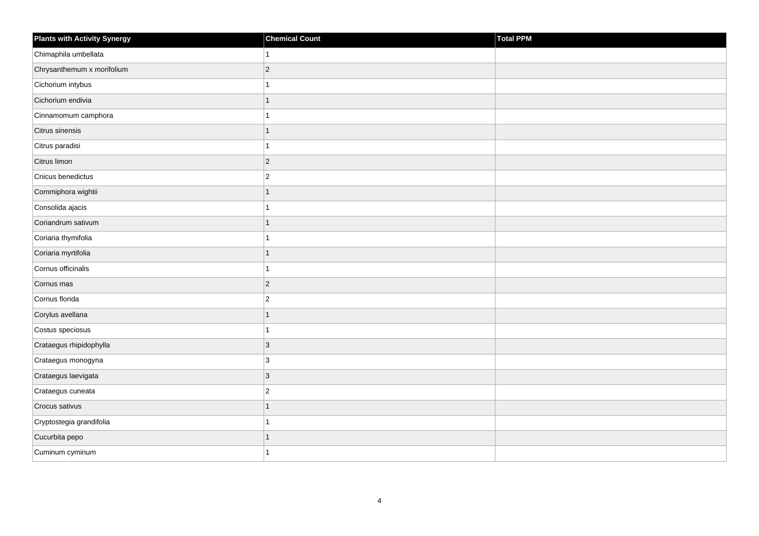| <b>Plants with Activity Synergy</b> | <b>Chemical Count</b> | Total PPM |
|-------------------------------------|-----------------------|-----------|
| Chimaphila umbellata                |                       |           |
| Chrysanthemum x morifolium          | $\overline{2}$        |           |
| Cichorium intybus                   |                       |           |
| Cichorium endivia                   | 1                     |           |
| Cinnamomum camphora                 |                       |           |
| Citrus sinensis                     |                       |           |
| Citrus paradisi                     |                       |           |
| Citrus limon                        | $\overline{2}$        |           |
| Cnicus benedictus                   | $\overline{2}$        |           |
| Commiphora wightii                  | $\overline{1}$        |           |
| Consolida ajacis                    |                       |           |
| Coriandrum sativum                  |                       |           |
| Coriaria thymifolia                 |                       |           |
| Coriaria myrtifolia                 | 1                     |           |
| Cornus officinalis                  |                       |           |
| Cornus mas                          | $\overline{2}$        |           |
| Cornus florida                      | $\overline{2}$        |           |
| Corylus avellana                    |                       |           |
| Costus speciosus                    | 1                     |           |
| Crataegus rhipidophylla             | 3                     |           |
| Crataegus monogyna                  | 3                     |           |
| Crataegus laevigata                 | $\overline{3}$        |           |
| Crataegus cuneata                   | $\overline{2}$        |           |
| Crocus sativus                      |                       |           |
| Cryptostegia grandifolia            | 1                     |           |
| Cucurbita pepo                      |                       |           |
| Cuminum cyminum                     |                       |           |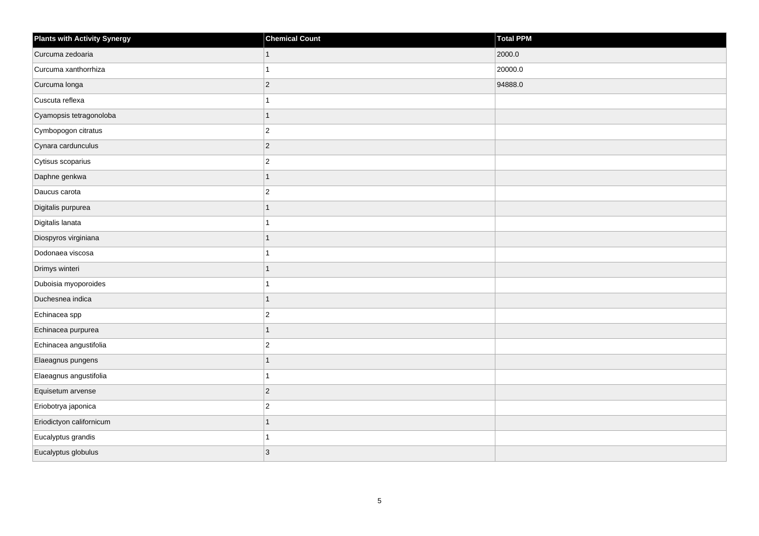| <b>Plants with Activity Synergy</b> | <b>Chemical Count</b>   | Total PPM |
|-------------------------------------|-------------------------|-----------|
| Curcuma zedoaria                    | $\mathbf{1}$            | 2000.0    |
| Curcuma xanthorrhiza                | 1                       | 20000.0   |
| Curcuma longa                       | $\overline{c}$          | 94888.0   |
| Cuscuta reflexa                     | 1                       |           |
| Cyamopsis tetragonoloba             | $\overline{1}$          |           |
| Cymbopogon citratus                 | $\overline{c}$          |           |
| Cynara cardunculus                  | $\overline{2}$          |           |
| Cytisus scoparius                   | $\overline{\mathbf{c}}$ |           |
| Daphne genkwa                       | $\overline{1}$          |           |
| Daucus carota                       | $\overline{c}$          |           |
| Digitalis purpurea                  | $\overline{1}$          |           |
| Digitalis lanata                    | 1                       |           |
| Diospyros virginiana                | $\overline{1}$          |           |
| Dodonaea viscosa                    | 1                       |           |
| Drimys winteri                      | 1                       |           |
| Duboisia myoporoides                | $\overline{1}$          |           |
| Duchesnea indica                    | $\overline{1}$          |           |
| Echinacea spp                       | $\overline{c}$          |           |
| Echinacea purpurea                  | $\overline{1}$          |           |
| Echinacea angustifolia              | $\overline{c}$          |           |
| Elaeagnus pungens                   | 1                       |           |
| Elaeagnus angustifolia              | 1                       |           |
| Equisetum arvense                   | $\overline{2}$          |           |
| Eriobotrya japonica                 | $\overline{c}$          |           |
| Eriodictyon californicum            | $\overline{1}$          |           |
| Eucalyptus grandis                  | 1                       |           |
| Eucalyptus globulus                 | 3                       |           |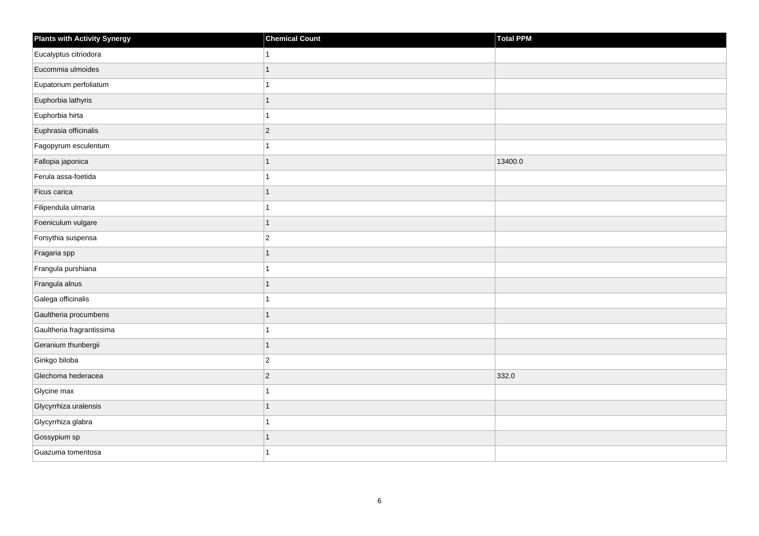| Plants with Activity Synergy | <b>Chemical Count</b> | Total PPM |
|------------------------------|-----------------------|-----------|
| Eucalyptus citriodora        |                       |           |
| Eucommia ulmoides            | 1                     |           |
| Eupatorium perfoliatum       |                       |           |
| Euphorbia lathyris           | 1                     |           |
| Euphorbia hirta              |                       |           |
| Euphrasia officinalis        | $\overline{c}$        |           |
| Fagopyrum esculentum         |                       |           |
| Fallopia japonica            | 1                     | 13400.0   |
| Ferula assa-foetida          |                       |           |
| Ficus carica                 | 1                     |           |
| Filipendula ulmaria          |                       |           |
| Foeniculum vulgare           | 1                     |           |
| Forsythia suspensa           | $\overline{a}$        |           |
| Fragaria spp                 | 1                     |           |
| Frangula purshiana           |                       |           |
| Frangula alnus               | 1                     |           |
| Galega officinalis           |                       |           |
| Gaultheria procumbens        | 1                     |           |
| Gaultheria fragrantissima    | 1                     |           |
| Geranium thunbergii          | 1                     |           |
| Ginkgo biloba                | $\overline{c}$        |           |
| Glechoma hederacea           | $\overline{2}$        | 332.0     |
| Glycine max                  |                       |           |
| Glycyrrhiza uralensis        |                       |           |
| Glycyrrhiza glabra           | 1                     |           |
| Gossypium sp                 | 1                     |           |
| Guazuma tomentosa            |                       |           |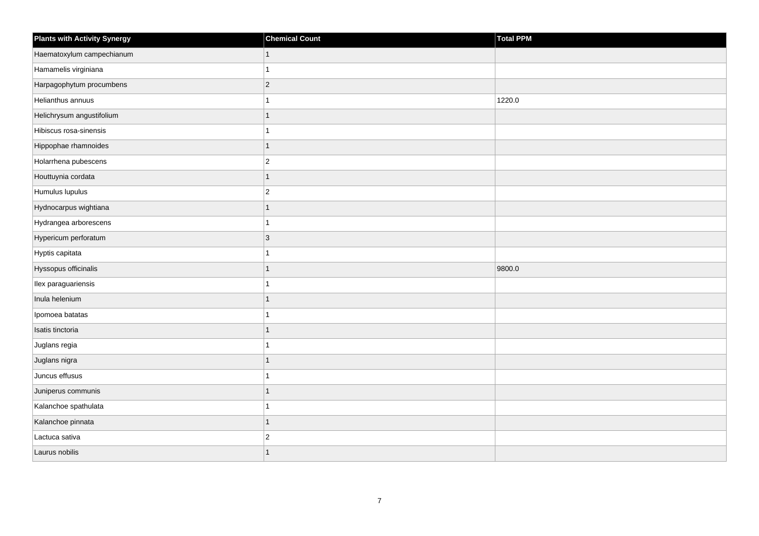| <b>Plants with Activity Synergy</b> | <b>Chemical Count</b> | Total PPM |
|-------------------------------------|-----------------------|-----------|
| Haematoxylum campechianum           | 1                     |           |
| Hamamelis virginiana                |                       |           |
| Harpagophytum procumbens            | $\overline{2}$        |           |
| Helianthus annuus                   |                       | 1220.0    |
| Helichrysum angustifolium           | 1                     |           |
| Hibiscus rosa-sinensis              |                       |           |
| Hippophae rhamnoides                | 1                     |           |
| Holarrhena pubescens                | $\overline{2}$        |           |
| Houttuynia cordata                  | 1                     |           |
| Humulus lupulus                     | $\overline{2}$        |           |
| Hydnocarpus wightiana               | 1                     |           |
| Hydrangea arborescens               |                       |           |
| Hypericum perforatum                | $\overline{3}$        |           |
| Hyptis capitata                     |                       |           |
| Hyssopus officinalis                |                       | 9800.0    |
| Ilex paraguariensis                 |                       |           |
| Inula helenium                      |                       |           |
| Ipomoea batatas                     |                       |           |
| Isatis tinctoria                    | 1                     |           |
| Juglans regia                       |                       |           |
| Juglans nigra                       |                       |           |
| Juncus effusus                      |                       |           |
| Juniperus communis                  |                       |           |
| Kalanchoe spathulata                |                       |           |
| Kalanchoe pinnata                   | $\overline{1}$        |           |
| Lactuca sativa                      | $\overline{c}$        |           |
| Laurus nobilis                      |                       |           |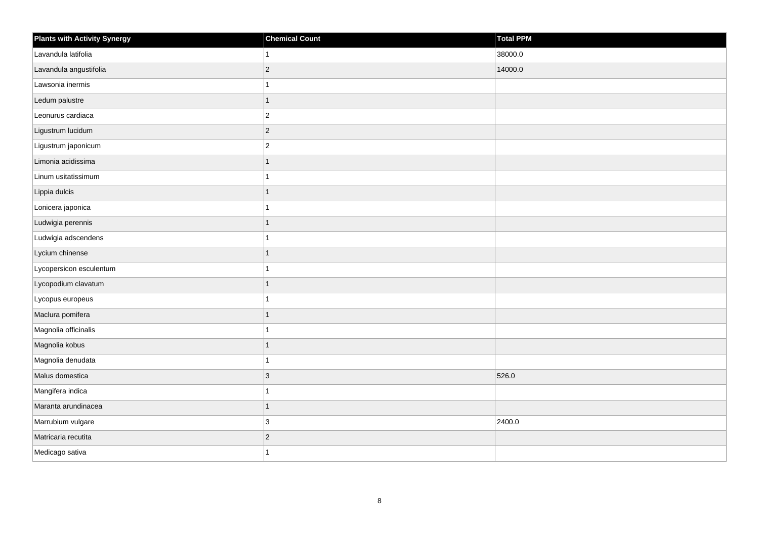| <b>Plants with Activity Synergy</b> | <b>Chemical Count</b> | Total PPM |
|-------------------------------------|-----------------------|-----------|
| Lavandula latifolia                 |                       | 38000.0   |
| Lavandula angustifolia              | $\overline{2}$        | 14000.0   |
| Lawsonia inermis                    |                       |           |
| Ledum palustre                      | $\overline{1}$        |           |
| Leonurus cardiaca                   | $\overline{2}$        |           |
| Ligustrum lucidum                   | $\overline{2}$        |           |
| Ligustrum japonicum                 | $\overline{2}$        |           |
| Limonia acidissima                  | 1                     |           |
| Linum usitatissimum                 |                       |           |
| Lippia dulcis                       | 1                     |           |
| Lonicera japonica                   |                       |           |
| Ludwigia perennis                   | 1                     |           |
| Ludwigia adscendens                 |                       |           |
| Lycium chinense                     | 1                     |           |
| Lycopersicon esculentum             |                       |           |
| Lycopodium clavatum                 | $\overline{1}$        |           |
| Lycopus europeus                    |                       |           |
| Maclura pomifera                    |                       |           |
| Magnolia officinalis                | 1                     |           |
| Magnolia kobus                      | 1                     |           |
| Magnolia denudata                   |                       |           |
| Malus domestica                     | 3                     | 526.0     |
| Mangifera indica                    |                       |           |
| Maranta arundinacea                 | $\overline{1}$        |           |
| Marrubium vulgare                   | 3                     | 2400.0    |
| Matricaria recutita                 | $\overline{c}$        |           |
| Medicago sativa                     |                       |           |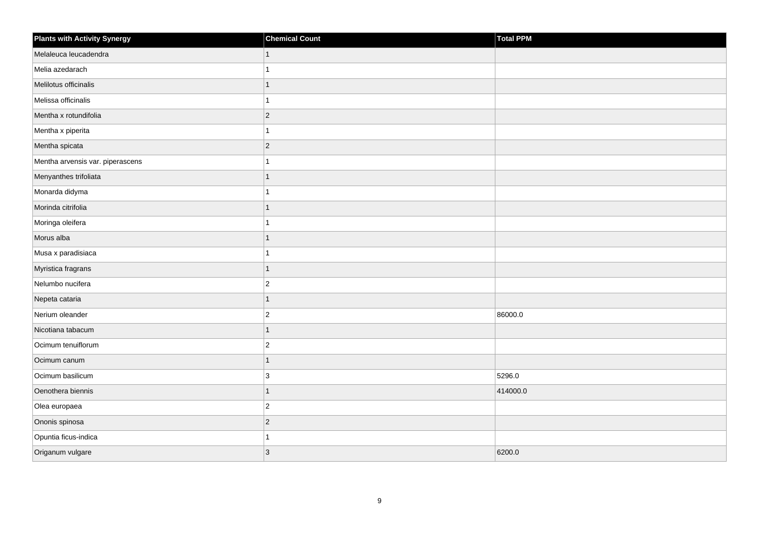| <b>Plants with Activity Synergy</b> | <b>Chemical Count</b> | Total PPM |
|-------------------------------------|-----------------------|-----------|
| Melaleuca leucadendra               |                       |           |
| Melia azedarach                     |                       |           |
| Melilotus officinalis               |                       |           |
| Melissa officinalis                 |                       |           |
| Mentha x rotundifolia               | $\overline{2}$        |           |
| Mentha x piperita                   |                       |           |
| Mentha spicata                      | $\overline{2}$        |           |
| Mentha arvensis var. piperascens    |                       |           |
| Menyanthes trifoliata               |                       |           |
| Monarda didyma                      |                       |           |
| Morinda citrifolia                  |                       |           |
| Moringa oleifera                    |                       |           |
| Morus alba                          | 1                     |           |
| Musa x paradisiaca                  |                       |           |
| Myristica fragrans                  | 1                     |           |
| Nelumbo nucifera                    | $\overline{2}$        |           |
| Nepeta cataria                      |                       |           |
| Nerium oleander                     | $\overline{2}$        | 86000.0   |
| Nicotiana tabacum                   | $\overline{1}$        |           |
| Ocimum tenuiflorum                  | $\overline{2}$        |           |
| Ocimum canum                        | 1                     |           |
| Ocimum basilicum                    | 3                     | 5296.0    |
| Oenothera biennis                   |                       | 414000.0  |
| Olea europaea                       | $\overline{c}$        |           |
| Ononis spinosa                      | $\overline{2}$        |           |
| Opuntia ficus-indica                |                       |           |
| Origanum vulgare                    | $\overline{3}$        | 6200.0    |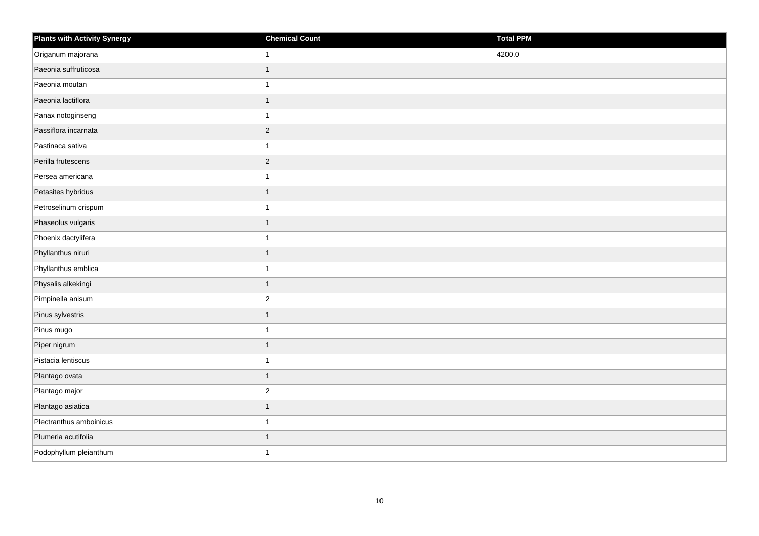| Plants with Activity Synergy | <b>Chemical Count</b>    | Total PPM |
|------------------------------|--------------------------|-----------|
| Origanum majorana            |                          | 4200.0    |
| Paeonia suffruticosa         | 1                        |           |
| Paeonia moutan               |                          |           |
| Paeonia lactiflora           | 1                        |           |
| Panax notoginseng            |                          |           |
| Passiflora incarnata         | $\overline{2}$           |           |
| Pastinaca sativa             | $\overline{\mathbf{A}}$  |           |
| Perilla frutescens           | $\overline{2}$           |           |
| Persea americana             |                          |           |
| Petasites hybridus           | 1                        |           |
| Petroselinum crispum         |                          |           |
| Phaseolus vulgaris           | $\overline{\phantom{a}}$ |           |
| Phoenix dactylifera          | 1                        |           |
| Phyllanthus niruri           | 1                        |           |
| Phyllanthus emblica          |                          |           |
| Physalis alkekingi           | $\overline{1}$           |           |
| Pimpinella anisum            | $\overline{c}$           |           |
| Pinus sylvestris             | 1                        |           |
| Pinus mugo                   | 1                        |           |
| Piper nigrum                 | 1                        |           |
| Pistacia lentiscus           |                          |           |
| Plantago ovata               | $\overline{1}$           |           |
| Plantago major               | $\overline{2}$           |           |
| Plantago asiatica            | 1                        |           |
| Plectranthus amboinicus      | 1                        |           |
| Plumeria acutifolia          | 1                        |           |
| Podophyllum pleianthum       |                          |           |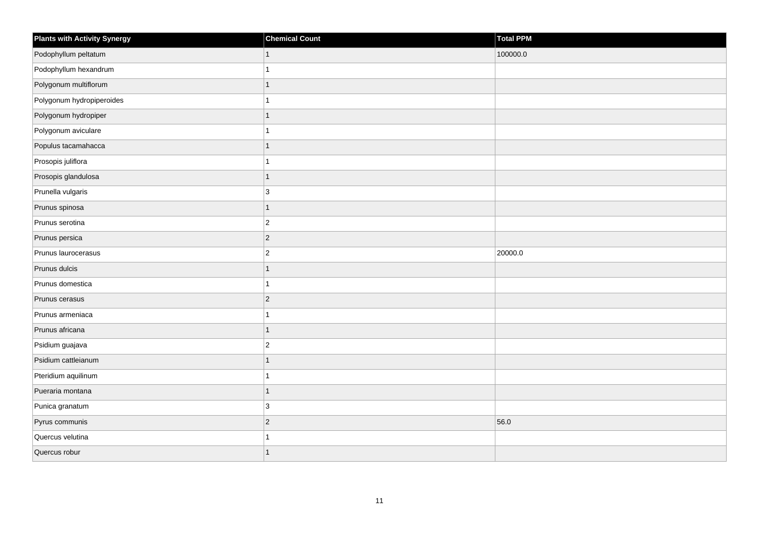| <b>Plants with Activity Synergy</b> | <b>Chemical Count</b> | Total PPM |
|-------------------------------------|-----------------------|-----------|
| Podophyllum peltatum                | 1                     | 100000.0  |
| Podophyllum hexandrum               |                       |           |
| Polygonum multiflorum               | 1                     |           |
| Polygonum hydropiperoides           |                       |           |
| Polygonum hydropiper                | 1                     |           |
| Polygonum aviculare                 |                       |           |
| Populus tacamahacca                 | 1                     |           |
| Prosopis juliflora                  |                       |           |
| Prosopis glandulosa                 | 1                     |           |
| Prunella vulgaris                   | 3                     |           |
| Prunus spinosa                      | $\overline{1}$        |           |
| Prunus serotina                     | $\overline{c}$        |           |
| Prunus persica                      | $\overline{2}$        |           |
| Prunus laurocerasus                 | $\overline{c}$        | 20000.0   |
| Prunus dulcis                       | 1                     |           |
| Prunus domestica                    | $\overline{1}$        |           |
| Prunus cerasus                      | $\overline{c}$        |           |
| Prunus armeniaca                    |                       |           |
| Prunus africana                     | $\overline{1}$        |           |
| Psidium guajava                     | $\overline{2}$        |           |
| Psidium cattleianum                 | 1                     |           |
| Pteridium aquilinum                 | 1                     |           |
| Pueraria montana                    | 1                     |           |
| Punica granatum                     | 3                     |           |
| Pyrus communis                      | $\overline{2}$        | 56.0      |
| Quercus velutina                    |                       |           |
| Quercus robur                       | 1                     |           |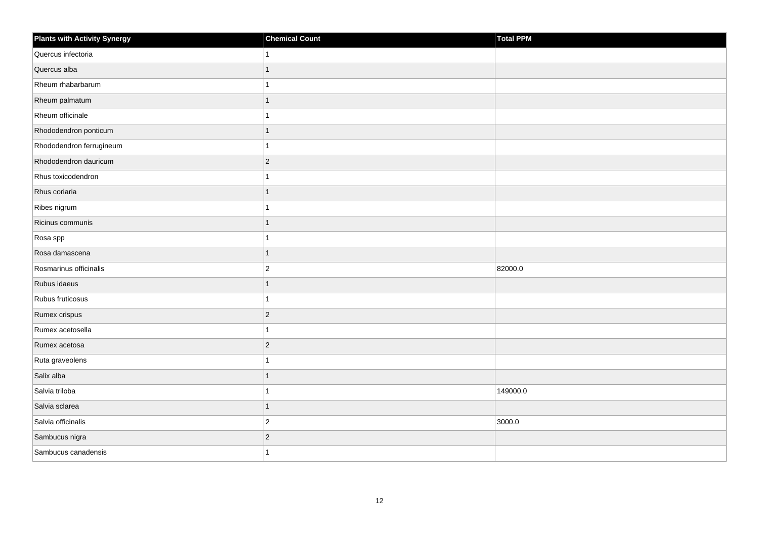| Plants with Activity Synergy | <b>Chemical Count</b> | Total PPM |
|------------------------------|-----------------------|-----------|
| Quercus infectoria           | 1                     |           |
| Quercus alba                 | $\mathbf{1}$          |           |
| Rheum rhabarbarum            | 1                     |           |
| Rheum palmatum               | 1                     |           |
| Rheum officinale             | 1                     |           |
| Rhododendron ponticum        | $\mathbf{1}$          |           |
| Rhododendron ferrugineum     | $\overline{1}$        |           |
| Rhododendron dauricum        | $ 2\rangle$           |           |
| Rhus toxicodendron           | 1                     |           |
| Rhus coriaria                | $\overline{1}$        |           |
| Ribes nigrum                 | 1                     |           |
| Ricinus communis             | 1                     |           |
| Rosa spp                     | $\mathbf{1}$          |           |
| Rosa damascena               | $\mathbf{1}$          |           |
| Rosmarinus officinalis       | $\overline{2}$        | 82000.0   |
| Rubus idaeus                 | $\mathbf{1}$          |           |
| Rubus fruticosus             | 1                     |           |
| Rumex crispus                | $ 2\rangle$           |           |
| Rumex acetosella             | $\mathbf{1}$          |           |
| Rumex acetosa                | $ 2\rangle$           |           |
| Ruta graveolens              | 1                     |           |
| Salix alba                   | $\mathbf{1}$          |           |
| Salvia triloba               | 1                     | 149000.0  |
| Salvia sclarea               | $\mathbf{1}$          |           |
| Salvia officinalis           | $ 2\rangle$           | 3000.0    |
| Sambucus nigra               | $ 2\rangle$           |           |
| Sambucus canadensis          | 1                     |           |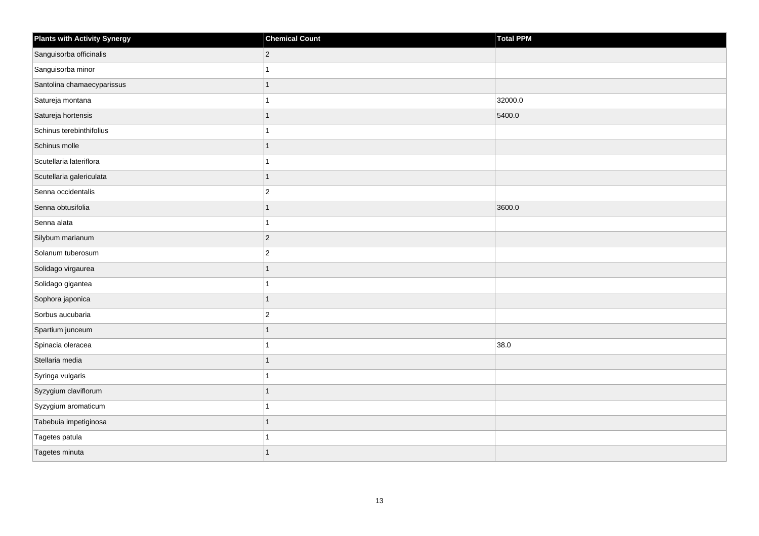| <b>Plants with Activity Synergy</b> | <b>Chemical Count</b> | Total PPM |
|-------------------------------------|-----------------------|-----------|
| Sanguisorba officinalis             | $\overline{2}$        |           |
| Sanguisorba minor                   |                       |           |
| Santolina chamaecyparissus          |                       |           |
| Satureja montana                    |                       | 32000.0   |
| Satureja hortensis                  | 1                     | 5400.0    |
| Schinus terebinthifolius            |                       |           |
| Schinus molle                       | 1                     |           |
| Scutellaria lateriflora             |                       |           |
| Scutellaria galericulata            |                       |           |
| Senna occidentalis                  | $\overline{c}$        |           |
| Senna obtusifolia                   | 1                     | 3600.0    |
| Senna alata                         |                       |           |
| Silybum marianum                    | $\overline{2}$        |           |
| Solanum tuberosum                   | $\overline{2}$        |           |
| Solidago virgaurea                  |                       |           |
| Solidago gigantea                   |                       |           |
| Sophora japonica                    |                       |           |
| Sorbus aucubaria                    | $\overline{2}$        |           |
| Spartium junceum                    | 1                     |           |
| Spinacia oleracea                   |                       | 38.0      |
| Stellaria media                     |                       |           |
| Syringa vulgaris                    |                       |           |
| Syzygium claviflorum                |                       |           |
| Syzygium aromaticum                 |                       |           |
| Tabebuia impetiginosa               | 1                     |           |
| Tagetes patula                      |                       |           |
| Tagetes minuta                      |                       |           |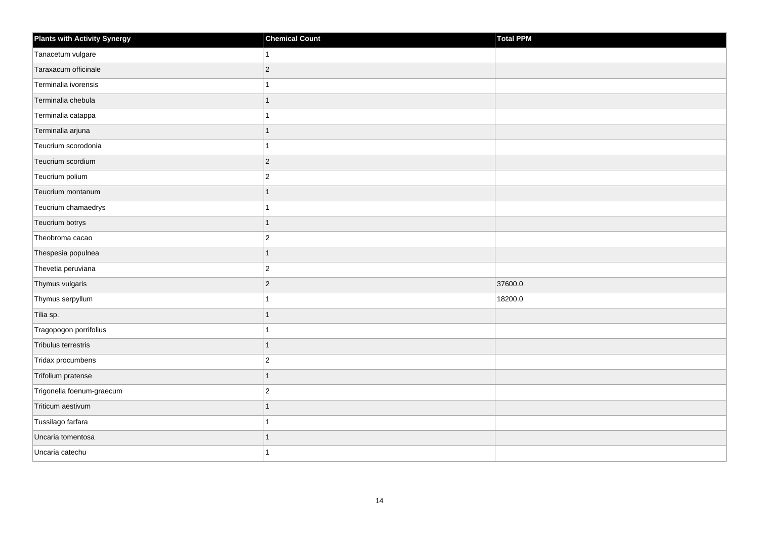| <b>Plants with Activity Synergy</b> | <b>Chemical Count</b> | Total PPM |
|-------------------------------------|-----------------------|-----------|
| Tanacetum vulgare                   | 1                     |           |
| Taraxacum officinale                | $\overline{2}$        |           |
| Terminalia ivorensis                | 1                     |           |
| Terminalia chebula                  | $\overline{1}$        |           |
| Terminalia catappa                  | 1                     |           |
| Terminalia arjuna                   | 1                     |           |
| Teucrium scorodonia                 | 1                     |           |
| Teucrium scordium                   | $\overline{c}$        |           |
| Teucrium polium                     | $\overline{2}$        |           |
| Teucrium montanum                   | $\overline{1}$        |           |
| Teucrium chamaedrys                 | 1                     |           |
| Teucrium botrys                     | $\overline{1}$        |           |
| Theobroma cacao                     | $\boldsymbol{2}$      |           |
| Thespesia populnea                  | $\overline{1}$        |           |
| Thevetia peruviana                  | $\overline{2}$        |           |
| Thymus vulgaris                     | $\overline{c}$        | 37600.0   |
| Thymus serpyllum                    | 1                     | 18200.0   |
| Tilia sp.                           | $\overline{1}$        |           |
| Tragopogon porrifolius              | $\overline{1}$        |           |
| Tribulus terrestris                 | 1                     |           |
| Tridax procumbens                   | $\overline{c}$        |           |
| Trifolium pratense                  | $\overline{1}$        |           |
| Trigonella foenum-graecum           | $\overline{c}$        |           |
| Triticum aestivum                   | $\overline{1}$        |           |
| Tussilago farfara                   | 1                     |           |
| Uncaria tomentosa                   | 1                     |           |
| Uncaria catechu                     | 1                     |           |